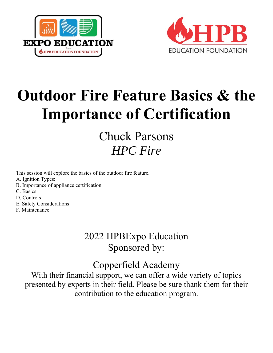



# **Outdoor Fire Feature Basics & the Importance of Certification**

## Chuck Parsons *HPC Fire*

This session will explore the basics of the outdoor fire feature.

- A. Ignition Types:
- B. Importance of appliance certification
- C. Basics
- D. Controls
- E. Safety Considerations
- F. Maintenance

## 2022 HPBExpo Education Sponsored by:

### Copperfield Academy

With their financial support, we can offer a wide variety of topics presented by experts in their field. Please be sure thank them for their contribution to the education program.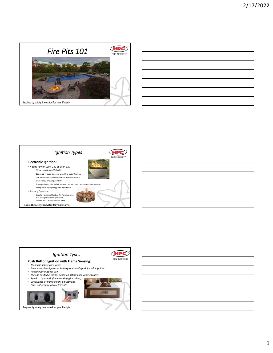





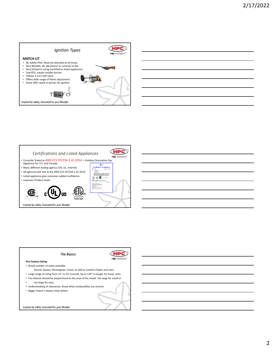





2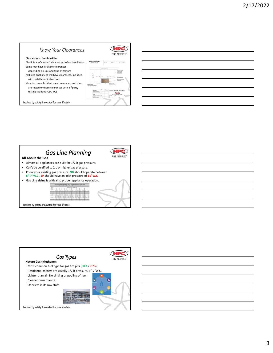#### *Know Your Clearances*

#### **Clearances to Combustibles:**

Check Manufacturer's clearances before installation. Some may have Multiple clearances

- depending on size and type of feature All listed appliances will have clearances, included with installation instructions
- Manufacturers list their own clearances, and then are tested to those clearances with 3rd party testing facilities (CSA, UL)

Inspired by safety. Innovated for your lifestyle.





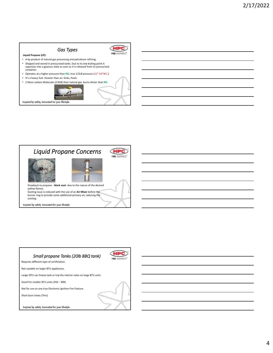#### *Gas Types*

**Liquid Propane (LP):**

- A by‐product of natural gas processing and petroleum refining. • Shipped and stored in pressurized tanks. Due to its low boiling point it vaporizes into a gaseous state as soon as it is released from its pressurized container.
- Operates at a higher pressure than **NG**, true 1/2LB pressure (11"‐14"W.C.)
- It's a heavy fuel. Heavier than air. Sinks, Pools.
- 2 More carbon Molecules (C3H8) than natural gas, burns dirtier than **NG**



**HPC FIRE INSPIRED** 



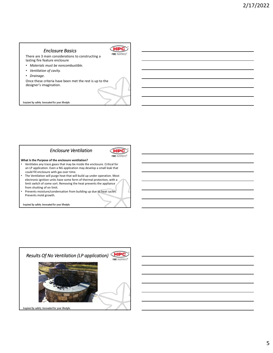#### *Enclosure Basics*

There are 3 main considerations to constructing a lasting fire feature enclosure

- *Materials must be noncombustible.*
- *Ventilation of cavity.*
- *Drainage*.

Once these criteria have been met the rest is up to the designer's imagination.



**HPC FIRE INSPIRED®** 

Inspired by safety. Innovated for your lifestyle.





**What Is the Purpose of the enclosure ventilation?**

- Ventilates any trace gases that may be inside the enclosure. Critical for an LP application. Even a NG application may develop a small leak that could fill enclosure with gas over time.
- The Ventilation will purge heat that will build up under operation. Most electronic ignition units have some form of thermal protection, with a limit switch of some sort. Removing the heat prevents the appliance from shutting of on limit.
- Prevents moisture/condensation from building up due to heat cycles. Prevents mold growth.

Inspired by safety. Innovated for your lifestyle.

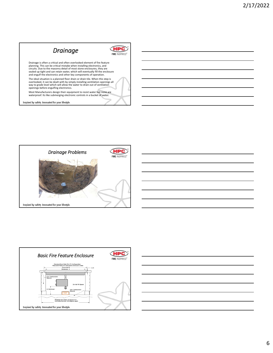







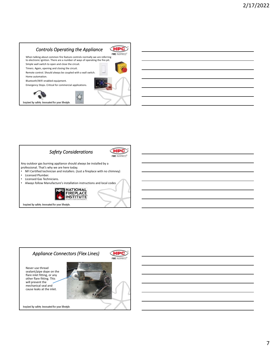#### *Controls Operating the Appliance*

**HPC** 





Inspired by safety. Innovated for your lifestyle.